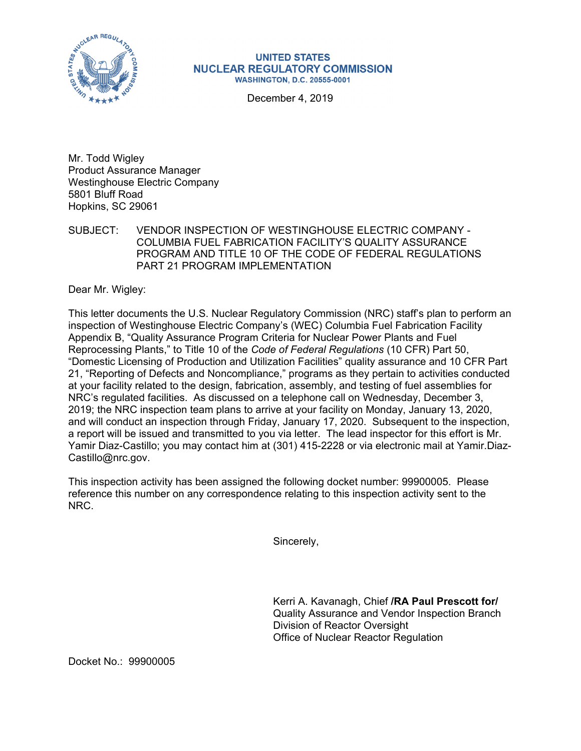

## **UNITED STATES NUCLEAR REGULATORY COMMISSION WASHINGTON, D.C. 20555-0001**

December 4, 2019

Mr. Todd Wigley Product Assurance Manager Westinghouse Electric Company 5801 Bluff Road Hopkins, SC 29061

SUBJECT: VENDOR INSPECTION OF WESTINGHOUSE ELECTRIC COMPANY - COLUMBIA FUEL FABRICATION FACILITY'S QUALITY ASSURANCE PROGRAM AND TITLE 10 OF THE CODE OF FEDERAL REGULATIONS PART 21 PROGRAM IMPLEMENTATION

Dear Mr. Wigley:

This letter documents the U.S. Nuclear Regulatory Commission (NRC) staff's plan to perform an inspection of Westinghouse Electric Company's (WEC) Columbia Fuel Fabrication Facility Appendix B, "Quality Assurance Program Criteria for Nuclear Power Plants and Fuel Reprocessing Plants," to Title 10 of the *Code of Federal Regulations* (10 CFR) Part 50, "Domestic Licensing of Production and Utilization Facilities" quality assurance and 10 CFR Part 21, "Reporting of Defects and Noncompliance," programs as they pertain to activities conducted at your facility related to the design, fabrication, assembly, and testing of fuel assemblies for NRC's regulated facilities. As discussed on a telephone call on Wednesday, December 3, 2019; the NRC inspection team plans to arrive at your facility on Monday, January 13, 2020, and will conduct an inspection through Friday, January 17, 2020. Subsequent to the inspection, a report will be issued and transmitted to you via letter. The lead inspector for this effort is Mr. Yamir Diaz-Castillo; you may contact him at (301) 415-2228 or via electronic mail at Yamir.Diaz-Castillo@nrc.gov.

This inspection activity has been assigned the following docket number: 99900005. Please reference this number on any correspondence relating to this inspection activity sent to the NRC.

Sincerely,

Kerri A. Kavanagh, Chief **/RA Paul Prescott for/**  Quality Assurance and Vendor Inspection Branch Division of Reactor Oversight Office of Nuclear Reactor Regulation

Docket No.: 99900005